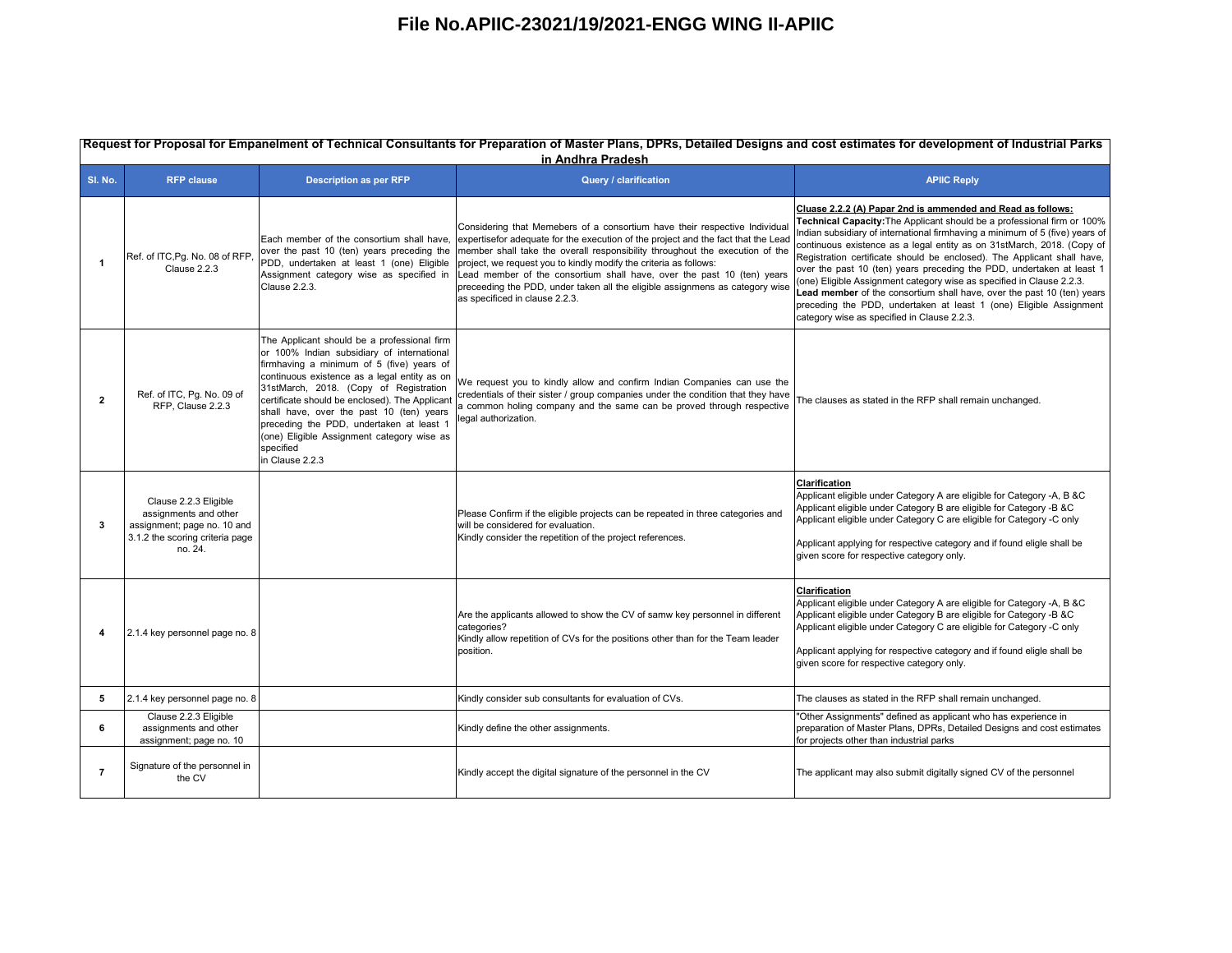|                         | Request for Proposal for Empanelment of Technical Consultants for Preparation of Master Plans, DPRs, Detailed Designs and cost estimates for development of Industrial Parks<br>in Andhra Pradesh |                                                                                                                                                                                                                                                                                                                                                                                                                                                          |                                                                                                                                                                                                                                                                                                                                                                                                                                                                                                                                                           |                                                                                                                                                                                                                                                                                                                                                                                                                                                                                                                                                                                                                                                                                                                              |  |
|-------------------------|---------------------------------------------------------------------------------------------------------------------------------------------------------------------------------------------------|----------------------------------------------------------------------------------------------------------------------------------------------------------------------------------------------------------------------------------------------------------------------------------------------------------------------------------------------------------------------------------------------------------------------------------------------------------|-----------------------------------------------------------------------------------------------------------------------------------------------------------------------------------------------------------------------------------------------------------------------------------------------------------------------------------------------------------------------------------------------------------------------------------------------------------------------------------------------------------------------------------------------------------|------------------------------------------------------------------------------------------------------------------------------------------------------------------------------------------------------------------------------------------------------------------------------------------------------------------------------------------------------------------------------------------------------------------------------------------------------------------------------------------------------------------------------------------------------------------------------------------------------------------------------------------------------------------------------------------------------------------------------|--|
| SI. No.                 | <b>RFP clause</b>                                                                                                                                                                                 | <b>Description as per RFP</b>                                                                                                                                                                                                                                                                                                                                                                                                                            | Query / clarification                                                                                                                                                                                                                                                                                                                                                                                                                                                                                                                                     | <b>APIIC Reply</b>                                                                                                                                                                                                                                                                                                                                                                                                                                                                                                                                                                                                                                                                                                           |  |
| $\blacktriangleleft$    | Ref. of ITC, Pg. No. 08 of RFP,<br>Clause 2.2.3                                                                                                                                                   | over the past 10 (ten) years preceding the<br>PDD, undertaken at least 1 (one) Eligible<br>Assignment category wise as specified in<br>Clause 2.2.3.                                                                                                                                                                                                                                                                                                     | Considering that Memebers of a consortium have their respective Individua<br>Each member of the consortium shall have, expertisefor adequate for the execution of the project and the fact that the Lead<br>member shall take the overall responsibility throughout the execution of the<br>project, we request you to kindly modify the criteria as follows:<br>Lead member of the consortium shall have, over the past 10 (ten) years<br>preceeding the PDD, under taken all the eligible assignmens as category wise<br>as specificed in clause 2.2.3. | Cluase 2.2.2 (A) Papar 2nd is ammended and Read as follows:<br>Technical Capacity: The Applicant should be a professional firm or 100%<br>Indian subsidiary of international firmhaving a minimum of 5 (five) years of<br>continuous existence as a legal entity as on 31stMarch, 2018. (Copy of<br>Registration certificate should be enclosed). The Applicant shall have,<br>over the past 10 (ten) years preceding the PDD, undertaken at least 1<br>(one) Eligible Assignment category wise as specified in Clause 2.2.3.<br>Lead member of the consortium shall have, over the past 10 (ten) years<br>preceding the PDD, undertaken at least 1 (one) Eligible Assignment<br>category wise as specified in Clause 2.2.3. |  |
| $\overline{\mathbf{2}}$ | Ref. of ITC, Pg. No. 09 of<br>RFP, Clause 2.2.3                                                                                                                                                   | The Applicant should be a professional firm<br>or 100% Indian subsidiary of international<br>firmhaving a minimum of 5 (five) years of<br>continuous existence as a legal entity as on<br>31stMarch, 2018. (Copy of Registration<br>certificate should be enclosed). The Applicant<br>shall have, over the past 10 (ten) years<br>preceding the PDD, undertaken at least 1<br>(one) Eligible Assignment category wise as<br>specified<br>in Clause 2.2.3 | We request you to kindly allow and confirm Indian Companies can use the<br>credentials of their sister / group companies under the condition that they have<br>common holing company and the same can be proved through respective<br>egal authorization.                                                                                                                                                                                                                                                                                                 | The clauses as stated in the RFP shall remain unchanged.                                                                                                                                                                                                                                                                                                                                                                                                                                                                                                                                                                                                                                                                     |  |
| 3                       | Clause 2.2.3 Eligible<br>assignments and other<br>assignment; page no. 10 and<br>3.1.2 the scoring criteria page<br>no. 24.                                                                       |                                                                                                                                                                                                                                                                                                                                                                                                                                                          | Please Confirm if the eligible projects can be repeated in three categories and<br>will be considered for evaluation.<br>Kindly consider the repetition of the project references.                                                                                                                                                                                                                                                                                                                                                                        | <b>Clarification</b><br>Applicant eligible under Category A are eligible for Category -A, B &C<br>Applicant eligible under Category B are eligible for Category -B &C<br>Applicant eligible under Category C are eligible for Category -C only<br>Applicant applying for respective category and if found eligle shall be<br>given score for respective category only.                                                                                                                                                                                                                                                                                                                                                       |  |
| 4                       | 2.1.4 key personnel page no. 8                                                                                                                                                                    |                                                                                                                                                                                                                                                                                                                                                                                                                                                          | Are the applicants allowed to show the CV of samw key personnel in different<br>categories?<br>Kindly allow repetition of CVs for the positions other than for the Team leader<br>position.                                                                                                                                                                                                                                                                                                                                                               | Clarification<br>Applicant eligible under Category A are eligible for Category -A, B &C<br>Applicant eligible under Category B are eligible for Category -B &C<br>Applicant eligible under Category C are eligible for Category -C only<br>Applicant applying for respective category and if found eligle shall be<br>given score for respective category only.                                                                                                                                                                                                                                                                                                                                                              |  |
| 5                       | 2.1.4 key personnel page no. 8                                                                                                                                                                    |                                                                                                                                                                                                                                                                                                                                                                                                                                                          | Kindly consider sub consultants for evaluation of CVs.                                                                                                                                                                                                                                                                                                                                                                                                                                                                                                    | The clauses as stated in the RFP shall remain unchanged.                                                                                                                                                                                                                                                                                                                                                                                                                                                                                                                                                                                                                                                                     |  |
| 6                       | Clause 2.2.3 Eligible<br>assignments and other<br>assignment; page no. 10                                                                                                                         |                                                                                                                                                                                                                                                                                                                                                                                                                                                          | Kindly define the other assignments.                                                                                                                                                                                                                                                                                                                                                                                                                                                                                                                      | "Other Assignments" defined as applicant who has experience in<br>preparation of Master Plans, DPRs, Detailed Designs and cost estimates<br>for projects other than industrial parks                                                                                                                                                                                                                                                                                                                                                                                                                                                                                                                                         |  |
| $\overline{7}$          | Signature of the personnel in<br>the CV                                                                                                                                                           |                                                                                                                                                                                                                                                                                                                                                                                                                                                          | Kindly accept the digital signature of the personnel in the CV                                                                                                                                                                                                                                                                                                                                                                                                                                                                                            | The applicant may also submit digitally signed CV of the personnel                                                                                                                                                                                                                                                                                                                                                                                                                                                                                                                                                                                                                                                           |  |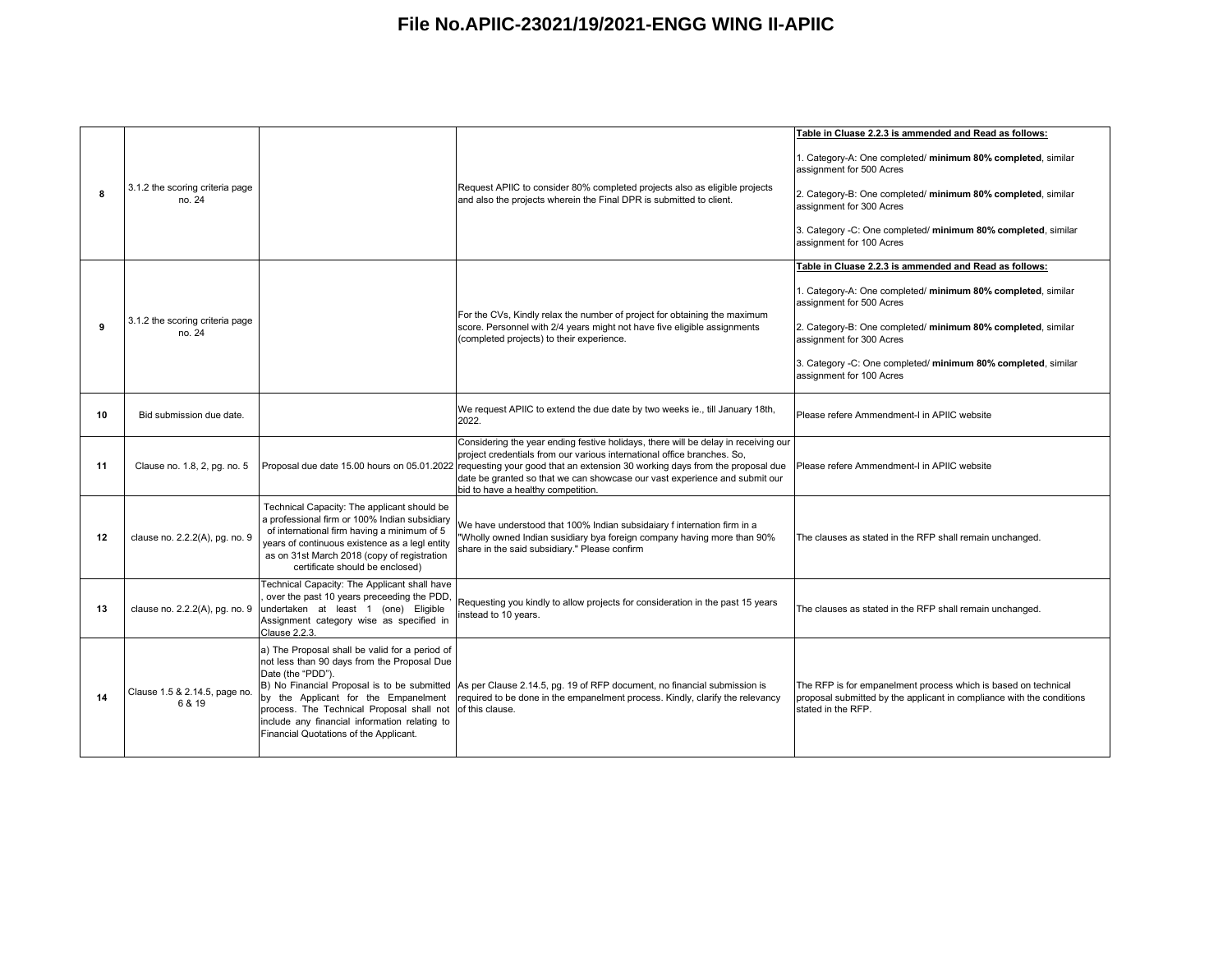|    |                                           |                                                                                                                                                                                                                                                                                                    |                                                                                                                                                                                                                                                                                                                                                                                                               | Table in Cluase 2.2.3 is ammended and Read as follows:                                                                                                                                                                                                                            |
|----|-------------------------------------------|----------------------------------------------------------------------------------------------------------------------------------------------------------------------------------------------------------------------------------------------------------------------------------------------------|---------------------------------------------------------------------------------------------------------------------------------------------------------------------------------------------------------------------------------------------------------------------------------------------------------------------------------------------------------------------------------------------------------------|-----------------------------------------------------------------------------------------------------------------------------------------------------------------------------------------------------------------------------------------------------------------------------------|
| я  | 3.1.2 the scoring criteria page<br>no. 24 |                                                                                                                                                                                                                                                                                                    | Request APIIC to consider 80% completed projects also as eligible projects<br>and also the projects wherein the Final DPR is submitted to client.                                                                                                                                                                                                                                                             | 1. Category-A: One completed/ minimum 80% completed, similar<br>assignment for 500 Acres<br>2. Category-B: One completed/ minimum 80% completed, similar<br>assignment for 300 Acres<br>3. Category -C: One completed/ minimum 80% completed, similar<br>assignment for 100 Acres |
|    |                                           |                                                                                                                                                                                                                                                                                                    |                                                                                                                                                                                                                                                                                                                                                                                                               | Table in Cluase 2.2.3 is ammended and Read as follows:                                                                                                                                                                                                                            |
| 9  | 3.1.2 the scoring criteria page<br>no. 24 |                                                                                                                                                                                                                                                                                                    | For the CVs, Kindly relax the number of project for obtaining the maximum<br>score. Personnel with 2/4 years might not have five eligible assignments<br>(completed projects) to their experience.                                                                                                                                                                                                            | 1. Category-A: One completed/ minimum 80% completed, similar<br>assignment for 500 Acres<br>2. Category-B: One completed/ minimum 80% completed, similar<br>assignment for 300 Acres                                                                                              |
|    |                                           |                                                                                                                                                                                                                                                                                                    |                                                                                                                                                                                                                                                                                                                                                                                                               | 3. Category -C: One completed/ minimum 80% completed, similar<br>assignment for 100 Acres                                                                                                                                                                                         |
| 10 | Bid submission due date.                  |                                                                                                                                                                                                                                                                                                    | We request APIIC to extend the due date by two weeks ie., till January 18th,<br>2022.                                                                                                                                                                                                                                                                                                                         | Please refere Ammendment-I in APIIC website                                                                                                                                                                                                                                       |
| 11 | Clause no. 1.8, 2, pg. no. 5              |                                                                                                                                                                                                                                                                                                    | Considering the year ending festive holidays, there will be delay in receiving our<br>project credentials from our various international office branches. So,<br>Proposal due date 15.00 hours on 05.01.2022 requesting your good that an extension 30 working days from the proposal due<br>date be granted so that we can showcase our vast experience and submit our<br>bid to have a healthy competition. | Please refere Ammendment-I in APIIC website                                                                                                                                                                                                                                       |
| 12 | clause no. 2.2.2(A), pg. no. 9            | Technical Capacity: The applicant should be<br>a professional firm or 100% Indian subsidiary<br>of international firm having a minimum of 5<br>years of continuous existence as a legl entity<br>as on 31st March 2018 (copy of registration<br>certificate should be enclosed)                    | We have understood that 100% Indian subsidaiary f internation firm in a<br>"Wholly owned Indian susidiary bya foreign company having more than 90%<br>share in the said subsidiary." Please confirm                                                                                                                                                                                                           | The clauses as stated in the RFP shall remain unchanged.                                                                                                                                                                                                                          |
| 13 | clause no. 2.2.2(A), pg. no. 9            | Technical Capacity: The Applicant shall have<br>over the past 10 years preceeding the PDD,<br>undertaken at least 1 (one) Eligible<br>Assignment category wise as specified in<br>Clause 2.2.3.                                                                                                    | Requesting you kindly to allow projects for consideration in the past 15 years<br>instead to 10 years.                                                                                                                                                                                                                                                                                                        | The clauses as stated in the RFP shall remain unchanged.                                                                                                                                                                                                                          |
| 14 | Clause 1.5 & 2.14.5, page no.<br>6 & 19   | a) The Proposal shall be valid for a period of<br>not less than 90 days from the Proposal Due<br>Date (the "PDD").<br>by the Applicant for the Empanelment<br>process. The Technical Proposal shall not<br>include any financial information relating to<br>Financial Quotations of the Applicant. | B) No Financial Proposal is to be submitted As per Clause 2.14.5, pg. 19 of RFP document, no financial submission is<br>required to be done in the empanelment process. Kindly, clarify the relevancy<br>of this clause.                                                                                                                                                                                      | The RFP is for empanelment process which is based on technical<br>proposal submitted by the applicant in compliance with the conditions<br>stated in the RFP.                                                                                                                     |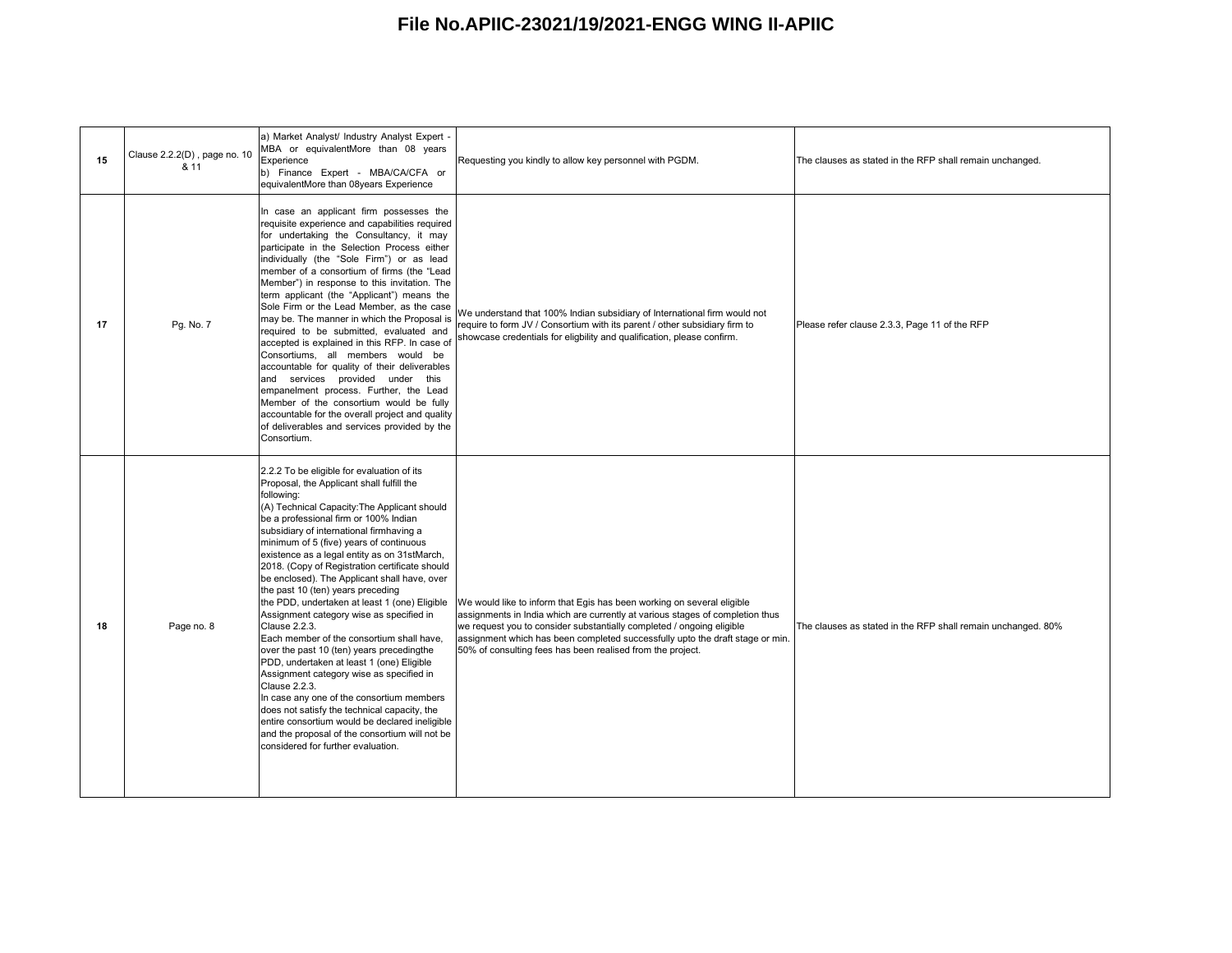| 15 | Clause 2.2.2(D), page no. 10<br>& 11 | a) Market Analyst/ Industry Analyst Expert -<br>MBA or equivalentMore than 08 years<br>Experience<br>b) Finance Expert - MBA/CA/CFA or<br>equivalentMore than 08years Experience                                                                                                                                                                                                                                                                                                                                                                                                                                                                                                                                                                                                                                                                                                                                                                                                                                                      | Requesting you kindly to allow key personnel with PGDM.                                                                                                                                                                                                                                                                                                                         | The clauses as stated in the RFP shall remain unchanged.     |
|----|--------------------------------------|---------------------------------------------------------------------------------------------------------------------------------------------------------------------------------------------------------------------------------------------------------------------------------------------------------------------------------------------------------------------------------------------------------------------------------------------------------------------------------------------------------------------------------------------------------------------------------------------------------------------------------------------------------------------------------------------------------------------------------------------------------------------------------------------------------------------------------------------------------------------------------------------------------------------------------------------------------------------------------------------------------------------------------------|---------------------------------------------------------------------------------------------------------------------------------------------------------------------------------------------------------------------------------------------------------------------------------------------------------------------------------------------------------------------------------|--------------------------------------------------------------|
| 17 | Pg. No. 7                            | In case an applicant firm possesses the<br>requisite experience and capabilities required<br>for undertaking the Consultancy, it may<br>participate in the Selection Process either<br>individually (the "Sole Firm") or as lead<br>member of a consortium of firms (the "Lead<br>Member") in response to this invitation. The<br>term applicant (the "Applicant") means the<br>Sole Firm or the Lead Member, as the case<br>may be. The manner in which the Proposal is<br>required to be submitted, evaluated and<br>accepted is explained in this RFP. In case of<br>Consortiums, all members would be<br>accountable for quality of their deliverables<br>and services provided under this<br>empanelment process. Further, the Lead<br>Member of the consortium would be fully<br>accountable for the overall project and quality<br>of deliverables and services provided by the<br>Consortium.                                                                                                                                 | We understand that 100% Indian subsidiary of International firm would not<br>require to form JV / Consortium with its parent / other subsidiary firm to<br>showcase credentials for eligbility and qualification, please confirm.                                                                                                                                               | Please refer clause 2.3.3, Page 11 of the RFP                |
| 18 | Page no. 8                           | 2.2.2 To be eligible for evaluation of its<br>Proposal, the Applicant shall fulfill the<br>following:<br>(A) Technical Capacity: The Applicant should<br>be a professional firm or 100% Indian<br>subsidiary of international firmhaving a<br>minimum of 5 (five) years of continuous<br>existence as a legal entity as on 31stMarch,<br>2018. (Copy of Registration certificate should<br>be enclosed). The Applicant shall have, over<br>the past 10 (ten) years preceding<br>the PDD, undertaken at least 1 (one) Eligible<br>Assignment category wise as specified in<br>Clause 2.2.3.<br>Each member of the consortium shall have,<br>over the past 10 (ten) years precedingthe<br>PDD, undertaken at least 1 (one) Eligible<br>Assignment category wise as specified in<br>Clause 2.2.3.<br>In case any one of the consortium members<br>does not satisfy the technical capacity, the<br>entire consortium would be declared ineligible<br>and the proposal of the consortium will not be<br>considered for further evaluation. | We would like to inform that Egis has been working on several eligible<br>assignments in India which are currently at various stages of completion thus<br>we request you to consider substantially completed / ongoing eligible<br>assignment which has been completed successfully upto the draft stage or min.<br>50% of consulting fees has been realised from the project. | The clauses as stated in the RFP shall remain unchanged. 80% |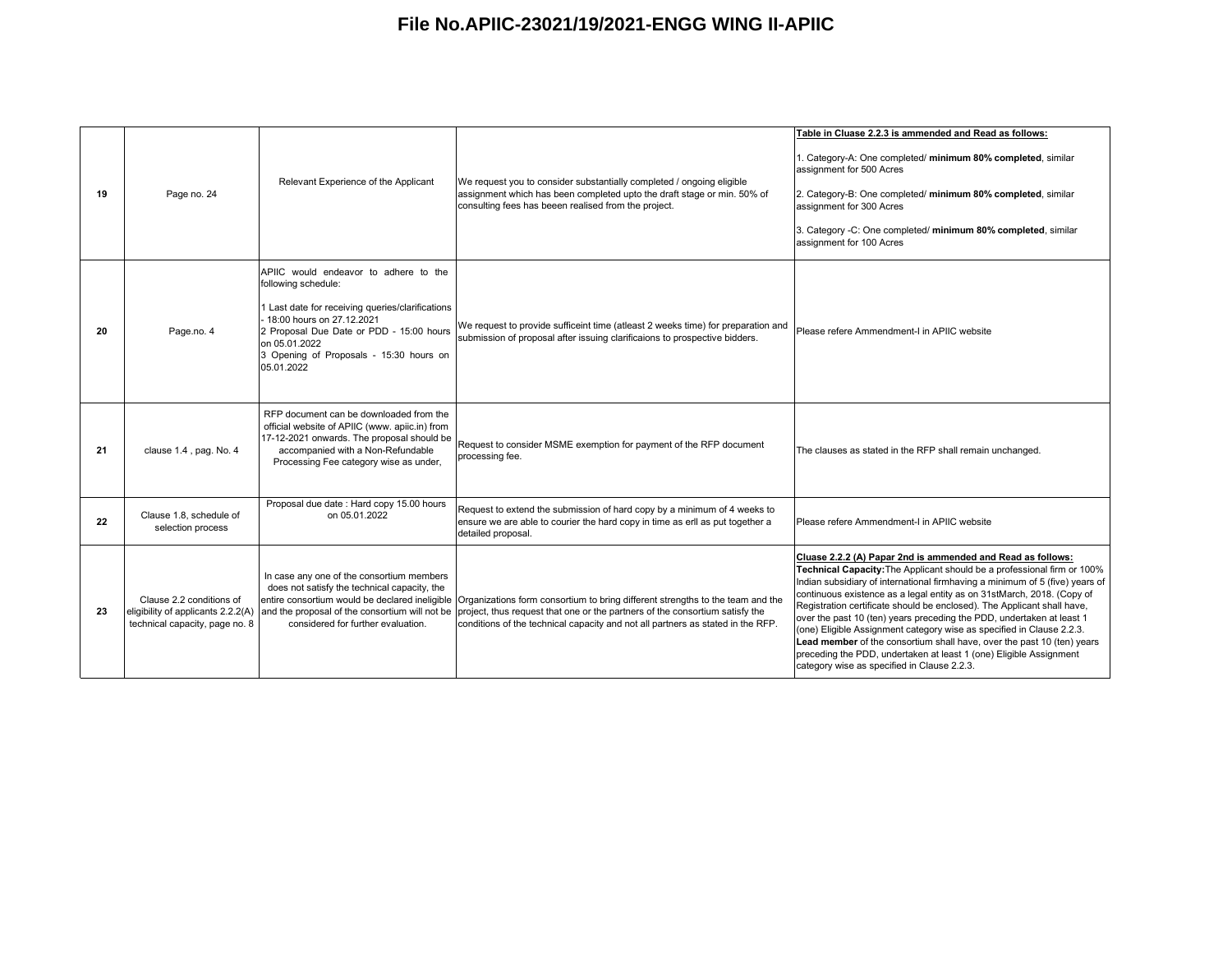| 19 | Page no. 24                                                | Relevant Experience of the Applicant                                                                                                                                                                                                                                | We request you to consider substantially completed / ongoing eligible<br>assignment which has been completed upto the draft stage or min. 50% of<br>consulting fees has beeen realised from the project.                                                                                                                                                                           | Table in Cluase 2.2.3 is ammended and Read as follows:<br>1. Category-A: One completed/ minimum 80% completed, similar<br>assignment for 500 Acres<br>2. Category-B: One completed/ minimum 80% completed, similar<br>assignment for 300 Acres<br>3. Category -C: One completed/ minimum 80% completed, similar<br>assignment for 100 Acres                                                                                                                                                                                                                                                                                                                                                                                  |
|----|------------------------------------------------------------|---------------------------------------------------------------------------------------------------------------------------------------------------------------------------------------------------------------------------------------------------------------------|------------------------------------------------------------------------------------------------------------------------------------------------------------------------------------------------------------------------------------------------------------------------------------------------------------------------------------------------------------------------------------|------------------------------------------------------------------------------------------------------------------------------------------------------------------------------------------------------------------------------------------------------------------------------------------------------------------------------------------------------------------------------------------------------------------------------------------------------------------------------------------------------------------------------------------------------------------------------------------------------------------------------------------------------------------------------------------------------------------------------|
| 20 | Page.no. 4                                                 | APIIC would endeavor to adhere to the<br>following schedule:<br>1 Last date for receiving queries/clarifications<br>18:00 hours on 27.12.2021<br>2 Proposal Due Date or PDD - 15:00 hours<br>on 05.01.2022<br>3 Opening of Proposals - 15:30 hours on<br>05.01.2022 | We request to provide sufficeint time (atleast 2 weeks time) for preparation and<br>submission of proposal after issuing clarificaions to prospective bidders.                                                                                                                                                                                                                     | Please refere Ammendment-I in APIIC website                                                                                                                                                                                                                                                                                                                                                                                                                                                                                                                                                                                                                                                                                  |
| 21 | clause 1.4, pag. No. 4                                     | RFP document can be downloaded from the<br>official website of APIIC (www. apiic.in) from<br>17-12-2021 onwards. The proposal should be<br>accompanied with a Non-Refundable<br>Processing Fee category wise as under,                                              | Request to consider MSME exemption for payment of the RFP document<br>processing fee.                                                                                                                                                                                                                                                                                              | The clauses as stated in the RFP shall remain unchanged.                                                                                                                                                                                                                                                                                                                                                                                                                                                                                                                                                                                                                                                                     |
| 22 | Clause 1.8, schedule of<br>selection process               | Proposal due date: Hard copy 15.00 hours<br>on 05.01.2022                                                                                                                                                                                                           | Request to extend the submission of hard copy by a minimum of 4 weeks to<br>ensure we are able to courier the hard copy in time as erll as put together a<br>detailed proposal.                                                                                                                                                                                                    | Please refere Ammendment-I in APIIC website                                                                                                                                                                                                                                                                                                                                                                                                                                                                                                                                                                                                                                                                                  |
| 23 | Clause 2.2 conditions of<br>technical capacity, page no. 8 | In case any one of the consortium members<br>does not satisfy the technical capacity, the<br>considered for further evaluation.                                                                                                                                     | entire consortium would be declared ineligible Organizations form consortium to bring different strengths to the team and the<br>eligibility of applicants 2.2.2(A) and the proposal of the consortium will not be project, thus request that one or the partners of the consortium satisfy the<br>conditions of the technical capacity and not all partners as stated in the RFP. | Cluase 2.2.2 (A) Papar 2nd is ammended and Read as follows:<br>Technical Capacity: The Applicant should be a professional firm or 100%<br>Indian subsidiary of international firmhaving a minimum of 5 (five) years of<br>continuous existence as a legal entity as on 31stMarch, 2018. (Copy of<br>Registration certificate should be enclosed). The Applicant shall have,<br>over the past 10 (ten) years preceding the PDD, undertaken at least 1<br>(one) Eligible Assignment category wise as specified in Clause 2.2.3.<br>Lead member of the consortium shall have, over the past 10 (ten) years<br>preceding the PDD, undertaken at least 1 (one) Eligible Assignment<br>category wise as specified in Clause 2.2.3. |